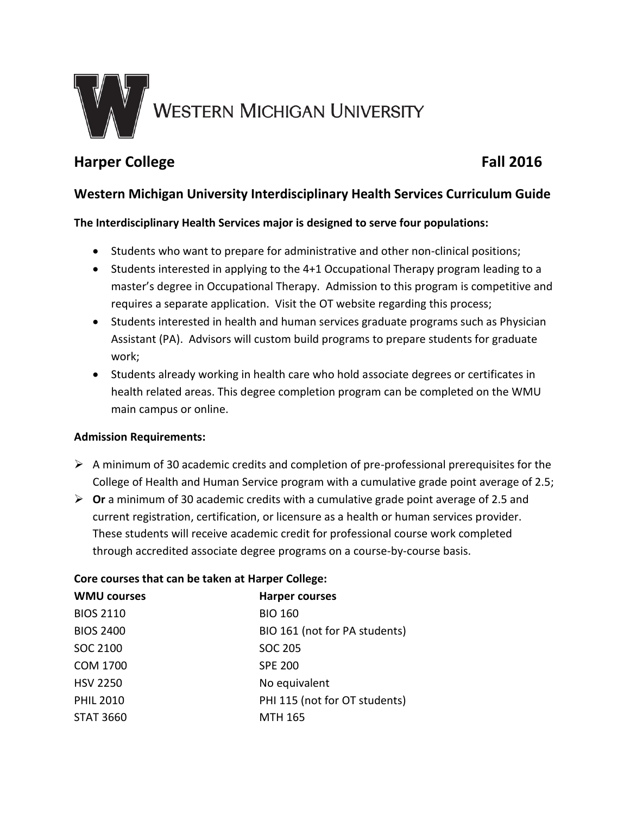

# **Harper College Fall 2016**

## **Western Michigan University Interdisciplinary Health Services Curriculum Guide**

## **The Interdisciplinary Health Services major is designed to serve four populations:**

- Students who want to prepare for administrative and other non-clinical positions;
- Students interested in applying to the 4+1 Occupational Therapy program leading to a master's degree in Occupational Therapy. Admission to this program is competitive and requires a separate application. Visit the OT website regarding this process;
- Students interested in health and human services graduate programs such as Physician Assistant (PA). Advisors will custom build programs to prepare students for graduate work;
- Students already working in health care who hold associate degrees or certificates in health related areas. This degree completion program can be completed on the WMU main campus or online.

### **Admission Requirements:**

- $\triangleright$  A minimum of 30 academic credits and completion of pre-professional prerequisites for the College of Health and Human Service program with a cumulative grade point average of 2.5;
- **Or** a minimum of 30 academic credits with a cumulative grade point average of 2.5 and current registration, certification, or licensure as a health or human services provider. These students will receive academic credit for professional course work completed through accredited associate degree programs on a course-by-course basis.

#### **Core courses that can be taken at Harper College:**

| <b>WMU courses</b> | <b>Harper courses</b>         |
|--------------------|-------------------------------|
| <b>BIOS 2110</b>   | <b>BIO 160</b>                |
| <b>BIOS 2400</b>   | BIO 161 (not for PA students) |
| SOC 2100           | SOC 205                       |
| COM 1700           | <b>SPE 200</b>                |
| <b>HSV 2250</b>    | No equivalent                 |
| <b>PHIL 2010</b>   | PHI 115 (not for OT students) |
| <b>STAT 3660</b>   | <b>MTH 165</b>                |